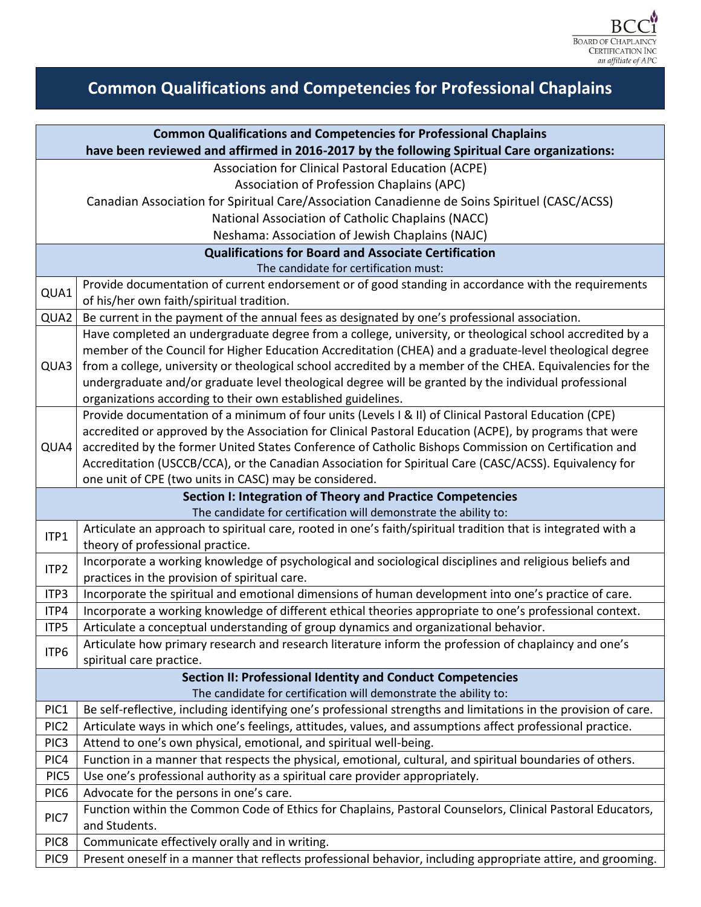

## **Common Qualifications and Competencies for Professional Chaplains**

| <b>Common Qualifications and Competencies for Professional Chaplains</b>                    |                                                                                                                                                                                                                                                        |  |
|---------------------------------------------------------------------------------------------|--------------------------------------------------------------------------------------------------------------------------------------------------------------------------------------------------------------------------------------------------------|--|
| have been reviewed and affirmed in 2016-2017 by the following Spiritual Care organizations: |                                                                                                                                                                                                                                                        |  |
|                                                                                             | Association for Clinical Pastoral Education (ACPE)                                                                                                                                                                                                     |  |
|                                                                                             | Association of Profession Chaplains (APC)                                                                                                                                                                                                              |  |
|                                                                                             | Canadian Association for Spiritual Care/Association Canadienne de Soins Spirituel (CASC/ACSS)                                                                                                                                                          |  |
|                                                                                             | National Association of Catholic Chaplains (NACC)                                                                                                                                                                                                      |  |
|                                                                                             | Neshama: Association of Jewish Chaplains (NAJC)                                                                                                                                                                                                        |  |
| <b>Qualifications for Board and Associate Certification</b>                                 |                                                                                                                                                                                                                                                        |  |
| The candidate for certification must:                                                       |                                                                                                                                                                                                                                                        |  |
| QUA1                                                                                        | Provide documentation of current endorsement or of good standing in accordance with the requirements                                                                                                                                                   |  |
|                                                                                             | of his/her own faith/spiritual tradition.                                                                                                                                                                                                              |  |
| QUA2                                                                                        | Be current in the payment of the annual fees as designated by one's professional association.                                                                                                                                                          |  |
|                                                                                             | Have completed an undergraduate degree from a college, university, or theological school accredited by a                                                                                                                                               |  |
|                                                                                             | member of the Council for Higher Education Accreditation (CHEA) and a graduate-level theological degree                                                                                                                                                |  |
| QUA3                                                                                        | from a college, university or theological school accredited by a member of the CHEA. Equivalencies for the                                                                                                                                             |  |
|                                                                                             | undergraduate and/or graduate level theological degree will be granted by the individual professional                                                                                                                                                  |  |
|                                                                                             | organizations according to their own established guidelines.                                                                                                                                                                                           |  |
|                                                                                             | Provide documentation of a minimum of four units (Levels I & II) of Clinical Pastoral Education (CPE)                                                                                                                                                  |  |
|                                                                                             | accredited or approved by the Association for Clinical Pastoral Education (ACPE), by programs that were                                                                                                                                                |  |
| QUA4                                                                                        | accredited by the former United States Conference of Catholic Bishops Commission on Certification and                                                                                                                                                  |  |
|                                                                                             | Accreditation (USCCB/CCA), or the Canadian Association for Spiritual Care (CASC/ACSS). Equivalency for                                                                                                                                                 |  |
|                                                                                             | one unit of CPE (two units in CASC) may be considered.                                                                                                                                                                                                 |  |
| Section I: Integration of Theory and Practice Competencies                                  |                                                                                                                                                                                                                                                        |  |
|                                                                                             | The candidate for certification will demonstrate the ability to:<br>Articulate an approach to spiritual care, rooted in one's faith/spiritual tradition that is integrated with a                                                                      |  |
| ITP1                                                                                        | theory of professional practice.                                                                                                                                                                                                                       |  |
|                                                                                             | Incorporate a working knowledge of psychological and sociological disciplines and religious beliefs and                                                                                                                                                |  |
| ITP2                                                                                        | practices in the provision of spiritual care.                                                                                                                                                                                                          |  |
| ITP3                                                                                        | Incorporate the spiritual and emotional dimensions of human development into one's practice of care.                                                                                                                                                   |  |
| ITP4                                                                                        | Incorporate a working knowledge of different ethical theories appropriate to one's professional context.                                                                                                                                               |  |
| ITP5                                                                                        | Articulate a conceptual understanding of group dynamics and organizational behavior.                                                                                                                                                                   |  |
| ITP6                                                                                        | Articulate how primary research and research literature inform the profession of chaplaincy and one's                                                                                                                                                  |  |
|                                                                                             | spiritual care practice.                                                                                                                                                                                                                               |  |
| <b>Section II: Professional Identity and Conduct Competencies</b>                           |                                                                                                                                                                                                                                                        |  |
|                                                                                             | The candidate for certification will demonstrate the ability to:                                                                                                                                                                                       |  |
| PIC1                                                                                        | Be self-reflective, including identifying one's professional strengths and limitations in the provision of care.                                                                                                                                       |  |
| PIC <sub>2</sub>                                                                            | Articulate ways in which one's feelings, attitudes, values, and assumptions affect professional practice.                                                                                                                                              |  |
| PIC <sub>3</sub>                                                                            | Attend to one's own physical, emotional, and spiritual well-being.                                                                                                                                                                                     |  |
| PIC4                                                                                        | Function in a manner that respects the physical, emotional, cultural, and spiritual boundaries of others.                                                                                                                                              |  |
|                                                                                             |                                                                                                                                                                                                                                                        |  |
|                                                                                             |                                                                                                                                                                                                                                                        |  |
| PIC7                                                                                        |                                                                                                                                                                                                                                                        |  |
|                                                                                             |                                                                                                                                                                                                                                                        |  |
| PIC8                                                                                        | Communicate effectively orally and in writing.                                                                                                                                                                                                         |  |
|                                                                                             |                                                                                                                                                                                                                                                        |  |
| PIC5<br>PIC <sub>6</sub>                                                                    | Use one's professional authority as a spiritual care provider appropriately.<br>Advocate for the persons in one's care.<br>Function within the Common Code of Ethics for Chaplains, Pastoral Counselors, Clinical Pastoral Educators,<br>and Students. |  |
| PIC <sub>9</sub>                                                                            | Present oneself in a manner that reflects professional behavior, including appropriate attire, and grooming.                                                                                                                                           |  |